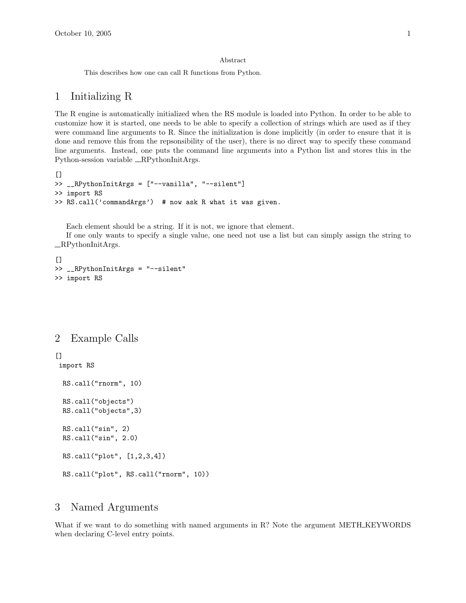#### Abstract

This describes how one can call R functions from Python.

### 1 Initializing R

The R engine is automatically initialized when the RS module is loaded into Python. In order to be able to customize how it is started, one needs to be able to specify a collection of strings which are used as if they were command line arguments to R. Since the initialization is done implicitly (in order to ensure that it is done and remove this from the repsonsibility of the user), there is no direct way to specify these command line arguments. Instead, one puts the command line arguments into a Python list and stores this in the Python-session variable \_RPythonInitArgs.

```
[>> __RPythonInitArgs = ["--vanilla", "--silent"]
>> import RS
>> RS.call('commandArgs') # now ask R what it was given.
```
Each element should be a string. If it is not, we ignore that element.

If one only wants to specify a single value, one need not use a list but can simply assign the string to RPythonInitArgs.

```
\Box>> __RPythonInitArgs = "--silent"
>> import RS
```
## 2 Example Calls

### []

import RS

```
RS.call("rnorm", 10)
RS.call("objects")
RS.call("objects",3)
RS.call("sin", 2)
RS.call("sin", 2.0)
RS.call("plot", [1,2,3,4])
RS.call("plot", RS.call("rnorm", 10))
```
# 3 Named Arguments

What if we want to do something with named arguments in R? Note the argument METH\_KEYWORDS when declaring C-level entry points.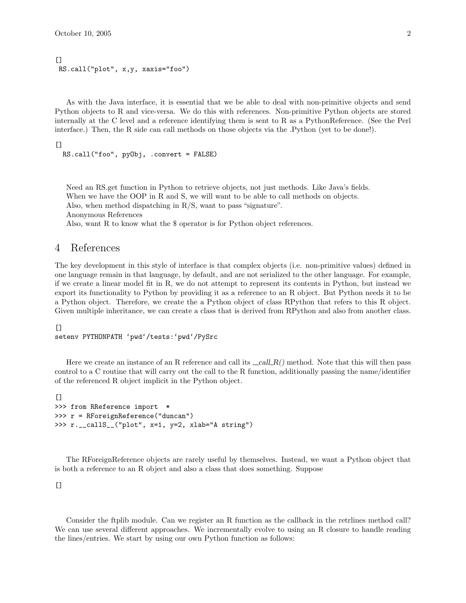```
[RS.call("plot", x,y, xaxis="foo")
```
As with the Java interface, it is essential that we be able to deal with non-primitive objects and send Python objects to R and vice-versa. We do this with references. Non-primitive Python objects are stored internally at the C level and a reference identifying them is sent to R as a PythonReference. (See the Perl interface.) Then, the R side can call methods on those objects via the .Python (yet to be done!).

```
\lceil
```

```
RS.call("foo", pyObj, .convert = FALSE)
```
Need an RS.get function in Python to retrieve objects, not just methods. Like Java's fields. When we have the OOP in R and S, we will want to be able to call methods on objects. Also, when method dispatching in R/S, want to pass "signature". Anonymous References

Also, want R to know what the \$ operator is for Python object references.

# 4 References

The key development in this style of interface is that complex objects (i.e. non-primitive values) defined in one language remain in that language, by default, and are not serialized to the other language. For example, if we create a linear model fit in R, we do not attempt to represent its contents in Python, but instead we export its functionality to Python by providing it as a reference to an R object. But Python needs it to be a Python object. Therefore, we create the a Python object of class RPython that refers to this R object. Given multiple inheritance, we can create a class that is derived from RPython and also from another class.

 $[$ 

```
setenv PYTHONPATH 'pwd'/tests:'pwd'/PySrc
```
Here we create an instance of an R reference and call its  $\text{call } R()$  method. Note that this will then pass control to a C routine that will carry out the call to the R function, additionally passing the name/identifier of the referenced R object implicit in the Python object.

```
\Box>>> from RReference import *
>>> r = RForeignReference("duncan")
>>> r.__callS__("plot", x=1, y=2, xlab="A string")
```
The RForeignReference objects are rarely useful by themselves. Instead, we want a Python object that is both a reference to an R object and also a class that does something. Suppose

 $[$ 

Consider the ftplib module. Can we register an R function as the callback in the retrlines method call? We can use several different approaches. We incrementally evolve to using an R closure to handle reading the lines/entries. We start by using our own Python function as follows: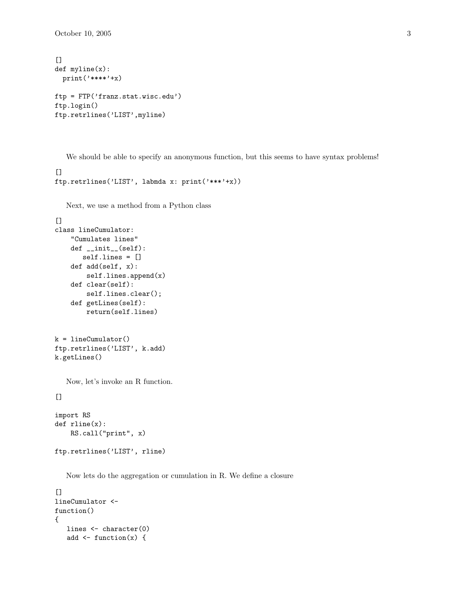October 10, 2005 3

```
[def myline(x):
 print('****'+x)
ftp = FTP('franz.stat.wisc.edu')
ftp.login()
ftp.retrlines('LIST',myline)
```
We should be able to specify an anonymous function, but this seems to have syntax problems!

```
[]
ftp.retrlines('LIST', labmda x: print('***'+x))
```
Next, we use a method from a Python class

```
[class lineCumulator:
   "Cumulates lines"
   def __init__(self):
       self.lines = []
   def add(self, x):
       self.lines.append(x)
   def clear(self):
        self.lines.clear();
   def getLines(self):
       return(self.lines)
```

```
k = lineCumulator()
ftp.retrlines('LIST', k.add)
k.getLines()
```
Now, let's invoke an R function.

 $[$ 

```
import RS
def rline(x):
    RS.call("print", x)
ftp.retrlines('LIST', rline)
```
Now lets do the aggregation or cumulation in R. We define a closure

```
\BoxlineCumulator <-
function()
{
   lines <- character(0)
   add \leftarrow function(x) {
```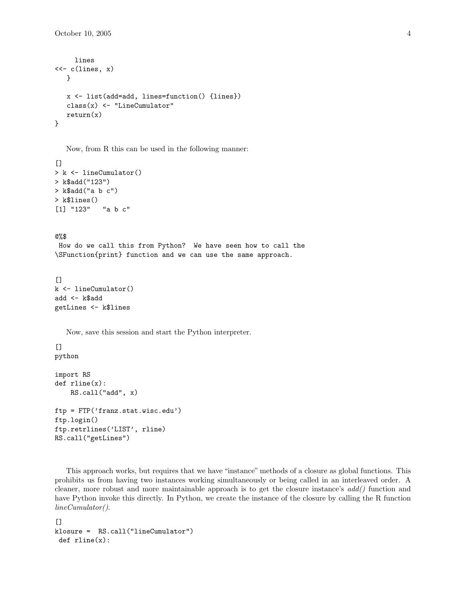```
lines
<<-c(lines, x)}
   x <- list(add=add, lines=function() {lines})
  class(x) <- "LineCumulator"
  return(x)}
```
Now, from R this can be used in the following manner:

```
[> k <- lineCumulator()
> k$add("123")
> k$add("a b c")
> k$lines()
[1] "123" "a b c"
```
@%\$

How do we call this from Python? We have seen how to call the \SFunction{print} function and we can use the same approach.

```
\lceil]
k <- lineCumulator()
add <- k$add
getLines <- k$lines
```
Now, save this session and start the Python interpreter.

 $[$ python

```
import RS
def rline(x):
    RS.call("add", x)
ftp = FTP('franz.stat.wisc.edu')
ftp.login()
ftp.retrlines('LIST', rline)
RS.call("getLines")
```
This approach works, but requires that we have "instance" methods of a closure as global functions. This prohibits us from having two instances working simultaneously or being called in an interleaved order. A cleaner, more robust and more maintainable approach is to get the closure instance's add() function and have Python invoke this directly. In Python, we create the instance of the closure by calling the R function lineCumulator().

```
[klosure = RS.call("lineCumulator")
def rline(x):
```